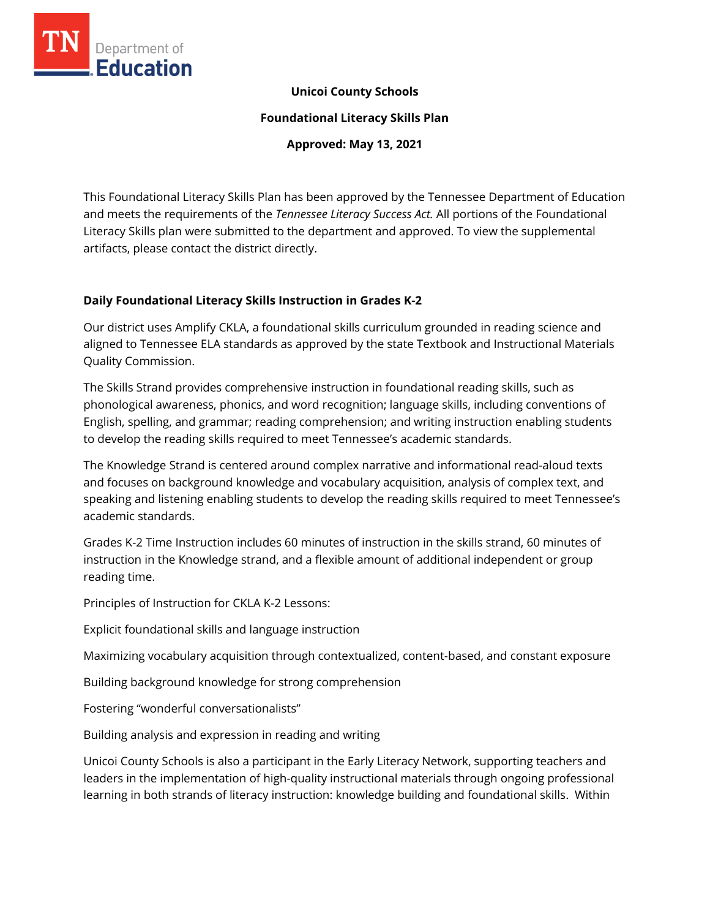

### **Unicoi County Schools**

**Foundational Literacy Skills Plan**

**Approved: May 13, 2021**

This Foundational Literacy Skills Plan has been approved by the Tennessee Department of Education and meets the requirements of the *Tennessee Literacy Success Act.* All portions of the Foundational Literacy Skills plan were submitted to the department and approved. To view the supplemental artifacts, please contact the district directly.

### **Daily Foundational Literacy Skills Instruction in Grades K-2**

Our district uses Amplify CKLA, a foundational skills curriculum grounded in reading science and aligned to Tennessee ELA standards as approved by the state Textbook and Instructional Materials Quality Commission.

The Skills Strand provides comprehensive instruction in foundational reading skills, such as phonological awareness, phonics, and word recognition; language skills, including conventions of English, spelling, and grammar; reading comprehension; and writing instruction enabling students to develop the reading skills required to meet Tennessee's academic standards.

The Knowledge Strand is centered around complex narrative and informational read-aloud texts and focuses on background knowledge and vocabulary acquisition, analysis of complex text, and speaking and listening enabling students to develop the reading skills required to meet Tennessee's academic standards.

Grades K-2 Time Instruction includes 60 minutes of instruction in the skills strand, 60 minutes of instruction in the Knowledge strand, and a flexible amount of additional independent or group reading time.

Principles of Instruction for CKLA K-2 Lessons:

Explicit foundational skills and language instruction

Maximizing vocabulary acquisition through contextualized, content-based, and constant exposure

Building background knowledge for strong comprehension

Fostering "wonderful conversationalists"

Building analysis and expression in reading and writing

Unicoi County Schools is also a participant in the Early Literacy Network, supporting teachers and leaders in the implementation of high-quality instructional materials through ongoing professional learning in both strands of literacy instruction: knowledge building and foundational skills. Within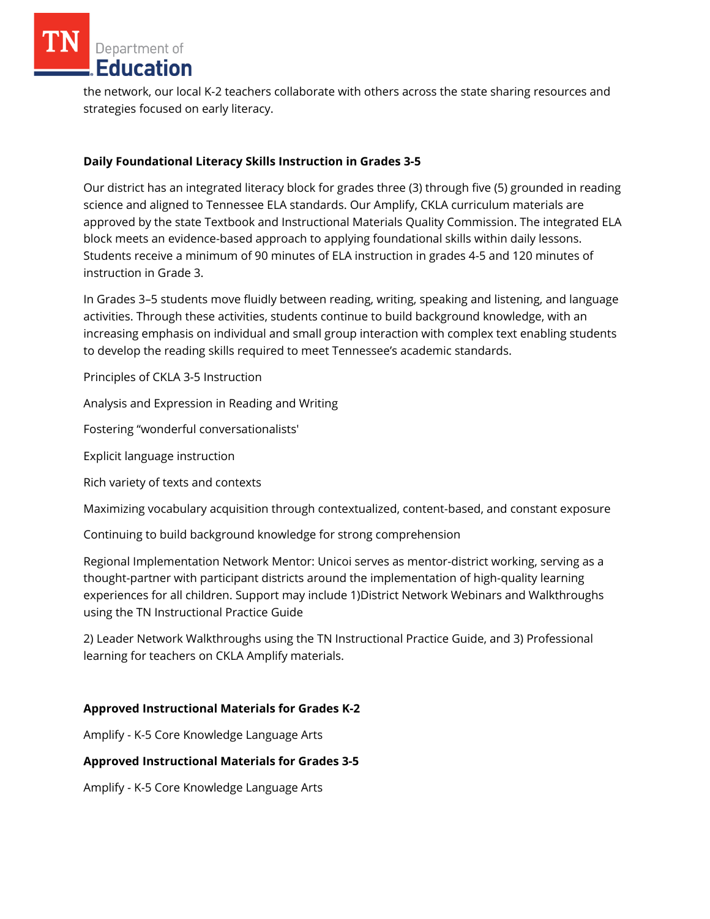the network, our local K-2 teachers collaborate with others across the state sharing resources and strategies focused on early literacy.

### **Daily Foundational Literacy Skills Instruction in Grades 3-5**

Our district has an integrated literacy block for grades three (3) through five (5) grounded in reading science and aligned to Tennessee ELA standards. Our Amplify, CKLA curriculum materials are approved by the state Textbook and Instructional Materials Quality Commission. The integrated ELA block meets an evidence-based approach to applying foundational skills within daily lessons. Students receive a minimum of 90 minutes of ELA instruction in grades 4-5 and 120 minutes of instruction in Grade 3.

In Grades 3–5 students move fluidly between reading, writing, speaking and listening, and language activities. Through these activities, students continue to build background knowledge, with an increasing emphasis on individual and small group interaction with complex text enabling students to develop the reading skills required to meet Tennessee's academic standards.

Principles of CKLA 3-5 Instruction

Analysis and Expression in Reading and Writing

Fostering "wonderful conversationalists'

Explicit language instruction

Rich variety of texts and contexts

Maximizing vocabulary acquisition through contextualized, content-based, and constant exposure

Continuing to build background knowledge for strong comprehension

Regional Implementation Network Mentor: Unicoi serves as mentor-district working, serving as a thought-partner with participant districts around the implementation of high-quality learning experiences for all children. Support may include 1)District Network Webinars and Walkthroughs using the TN Instructional Practice Guide

2) Leader Network Walkthroughs using the TN Instructional Practice Guide, and 3) Professional learning for teachers on CKLA Amplify materials.

### **Approved Instructional Materials for Grades K-2**

Amplify - K-5 Core Knowledge Language Arts

### **Approved Instructional Materials for Grades 3-5**

Amplify - K-5 Core Knowledge Language Arts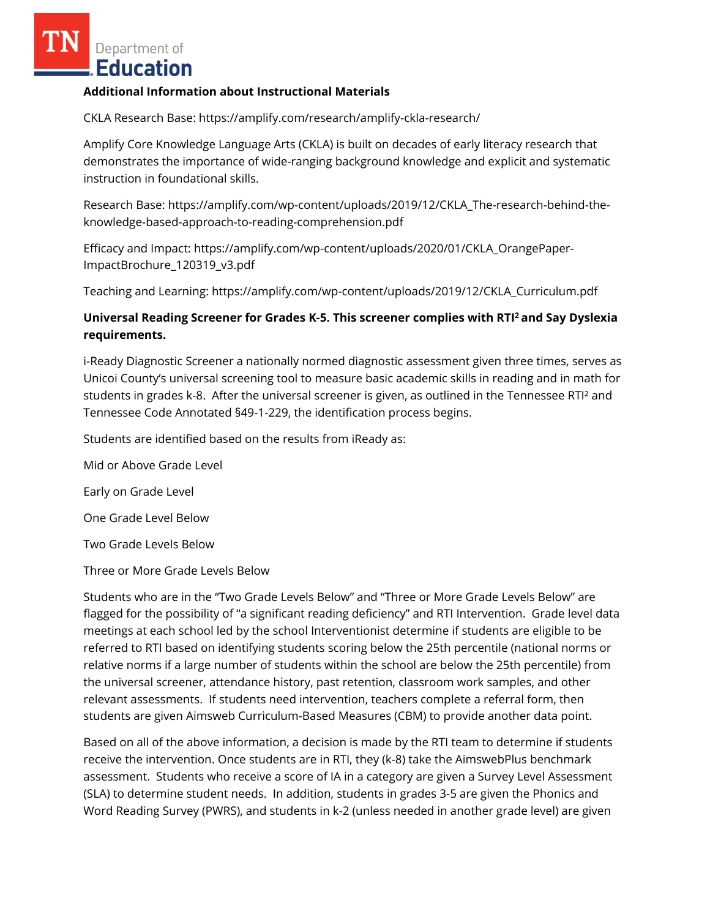#### **Additional Information about Instructional Materials**

CKLA Research Base: https://amplify.com/research/amplify-ckla-research/

Amplify Core Knowledge Language Arts (CKLA) is built on decades of early literacy research that demonstrates the importance of wide-ranging background knowledge and explicit and systematic instruction in foundational skills.

Research Base: https://amplify.com/wp-content/uploads/2019/12/CKLA\_The-research-behind-theknowledge-based-approach-to-reading-comprehension.pdf

Efficacy and Impact: https://amplify.com/wp-content/uploads/2020/01/CKLA\_OrangePaper-ImpactBrochure\_120319\_v3.pdf

Teaching and Learning: https://amplify.com/wp-content/uploads/2019/12/CKLA\_Curriculum.pdf

# **Universal Reading Screener for Grades K-5. This screener complies with RTI<sup>2</sup>and Say Dyslexia requirements.**

i-Ready Diagnostic Screener a nationally normed diagnostic assessment given three times, serves as Unicoi County's universal screening tool to measure basic academic skills in reading and in math for students in grades k-8. After the universal screener is given, as outlined in the Tennessee RTI² and Tennessee Code Annotated §49-1-229, the identification process begins.

Students are identified based on the results from iReady as:

Mid or Above Grade Level

Early on Grade Level

One Grade Level Below

Two Grade Levels Below

Three or More Grade Levels Below

Students who are in the "Two Grade Levels Below" and "Three or More Grade Levels Below" are flagged for the possibility of "a significant reading deficiency" and RTI Intervention. Grade level data meetings at each school led by the school Interventionist determine if students are eligible to be referred to RTI based on identifying students scoring below the 25th percentile (national norms or relative norms if a large number of students within the school are below the 25th percentile) from the universal screener, attendance history, past retention, classroom work samples, and other relevant assessments. If students need intervention, teachers complete a referral form, then students are given Aimsweb Curriculum-Based Measures (CBM) to provide another data point.

Based on all of the above information, a decision is made by the RTI team to determine if students receive the intervention. Once students are in RTI, they (k-8) take the AimswebPlus benchmark assessment. Students who receive a score of IA in a category are given a Survey Level Assessment (SLA) to determine student needs. In addition, students in grades 3-5 are given the Phonics and Word Reading Survey (PWRS), and students in k-2 (unless needed in another grade level) are given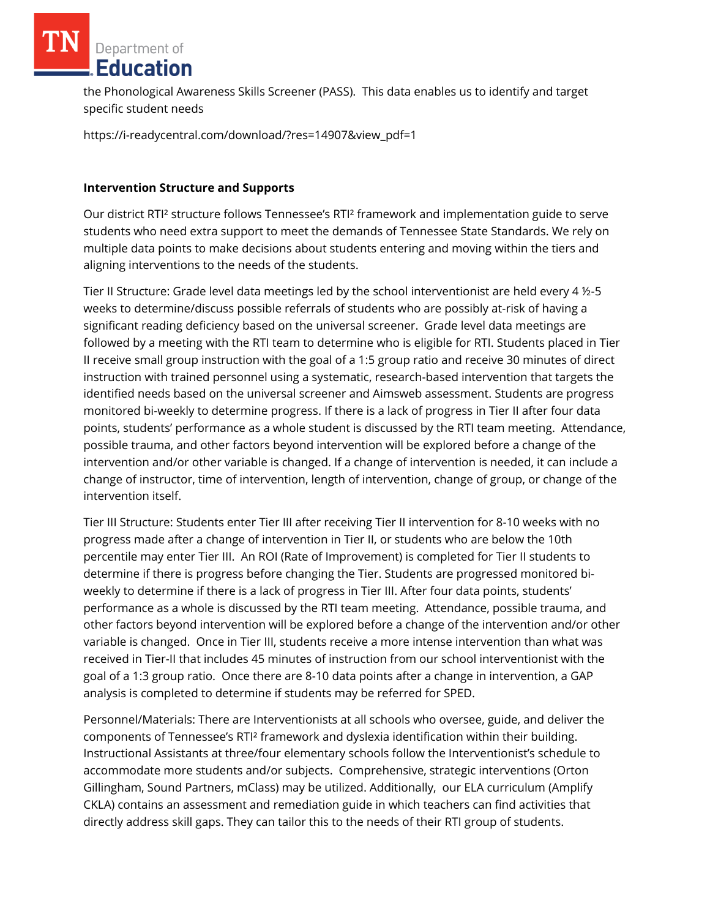the Phonological Awareness Skills Screener (PASS). This data enables us to identify and target specific student needs

https://i-readycentral.com/download/?res=14907&view\_pdf=1

### **Intervention Structure and Supports**

Our district RTI² structure follows Tennessee's RTI² framework and implementation guide to serve students who need extra support to meet the demands of Tennessee State Standards. We rely on multiple data points to make decisions about students entering and moving within the tiers and aligning interventions to the needs of the students.

Tier II Structure: Grade level data meetings led by the school interventionist are held every 4 ½-5 weeks to determine/discuss possible referrals of students who are possibly at-risk of having a significant reading deficiency based on the universal screener. Grade level data meetings are followed by a meeting with the RTI team to determine who is eligible for RTI. Students placed in Tier II receive small group instruction with the goal of a 1:5 group ratio and receive 30 minutes of direct instruction with trained personnel using a systematic, research-based intervention that targets the identified needs based on the universal screener and Aimsweb assessment. Students are progress monitored bi-weekly to determine progress. If there is a lack of progress in Tier II after four data points, students' performance as a whole student is discussed by the RTI team meeting. Attendance, possible trauma, and other factors beyond intervention will be explored before a change of the intervention and/or other variable is changed. If a change of intervention is needed, it can include a change of instructor, time of intervention, length of intervention, change of group, or change of the intervention itself.

Tier III Structure: Students enter Tier III after receiving Tier II intervention for 8-10 weeks with no progress made after a change of intervention in Tier II, or students who are below the 10th percentile may enter Tier III. An ROI (Rate of Improvement) is completed for Tier II students to determine if there is progress before changing the Tier. Students are progressed monitored biweekly to determine if there is a lack of progress in Tier III. After four data points, students' performance as a whole is discussed by the RTI team meeting. Attendance, possible trauma, and other factors beyond intervention will be explored before a change of the intervention and/or other variable is changed. Once in Tier III, students receive a more intense intervention than what was received in Tier-II that includes 45 minutes of instruction from our school interventionist with the goal of a 1:3 group ratio. Once there are 8-10 data points after a change in intervention, a GAP analysis is completed to determine if students may be referred for SPED.

Personnel/Materials: There are Interventionists at all schools who oversee, guide, and deliver the components of Tennessee's RTI² framework and dyslexia identification within their building. Instructional Assistants at three/four elementary schools follow the Interventionist's schedule to accommodate more students and/or subjects. Comprehensive, strategic interventions (Orton Gillingham, Sound Partners, mClass) may be utilized. Additionally, our ELA curriculum (Amplify CKLA) contains an assessment and remediation guide in which teachers can find activities that directly address skill gaps. They can tailor this to the needs of their RTI group of students.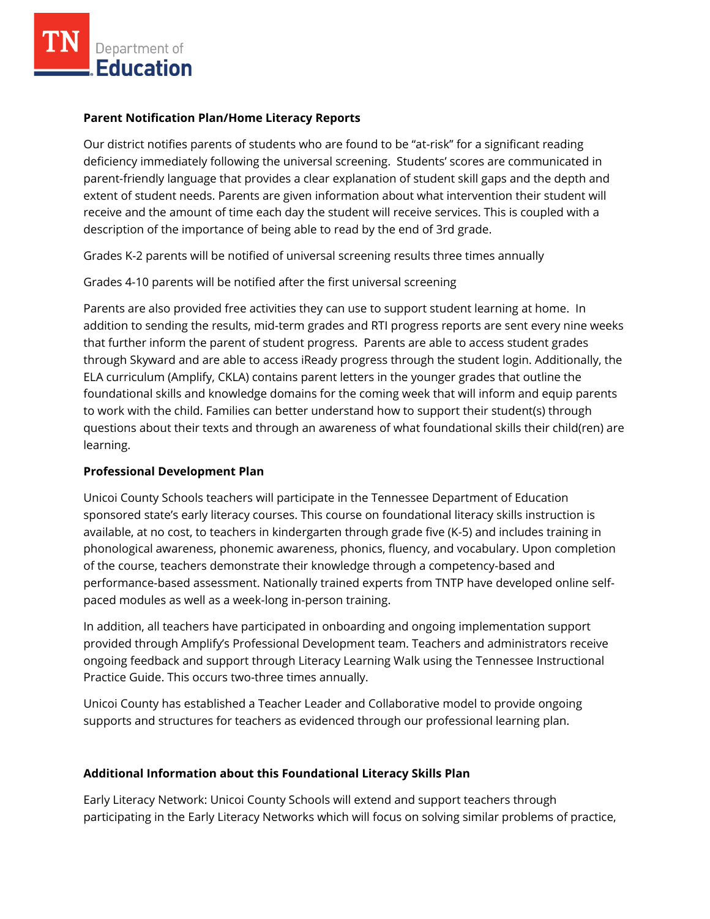### **Parent Notification Plan/Home Literacy Reports**

Our district notifies parents of students who are found to be "at-risk" for a significant reading deficiency immediately following the universal screening. Students' scores are communicated in parent-friendly language that provides a clear explanation of student skill gaps and the depth and extent of student needs. Parents are given information about what intervention their student will receive and the amount of time each day the student will receive services. This is coupled with a description of the importance of being able to read by the end of 3rd grade.

Grades K-2 parents will be notified of universal screening results three times annually

Grades 4-10 parents will be notified after the first universal screening

Parents are also provided free activities they can use to support student learning at home. In addition to sending the results, mid-term grades and RTI progress reports are sent every nine weeks that further inform the parent of student progress. Parents are able to access student grades through Skyward and are able to access iReady progress through the student login. Additionally, the ELA curriculum (Amplify, CKLA) contains parent letters in the younger grades that outline the foundational skills and knowledge domains for the coming week that will inform and equip parents to work with the child. Families can better understand how to support their student(s) through questions about their texts and through an awareness of what foundational skills their child(ren) are learning.

# **Professional Development Plan**

Unicoi County Schools teachers will participate in the Tennessee Department of Education sponsored state's early literacy courses. This course on foundational literacy skills instruction is available, at no cost, to teachers in kindergarten through grade five (K-5) and includes training in phonological awareness, phonemic awareness, phonics, fluency, and vocabulary. Upon completion of the course, teachers demonstrate their knowledge through a competency-based and performance-based assessment. Nationally trained experts from TNTP have developed online selfpaced modules as well as a week-long in-person training.

In addition, all teachers have participated in onboarding and ongoing implementation support provided through Amplify's Professional Development team. Teachers and administrators receive ongoing feedback and support through Literacy Learning Walk using the Tennessee Instructional Practice Guide. This occurs two-three times annually.

Unicoi County has established a Teacher Leader and Collaborative model to provide ongoing supports and structures for teachers as evidenced through our professional learning plan.

### **Additional Information about this Foundational Literacy Skills Plan**

Early Literacy Network: Unicoi County Schools will extend and support teachers through participating in the Early Literacy Networks which will focus on solving similar problems of practice,